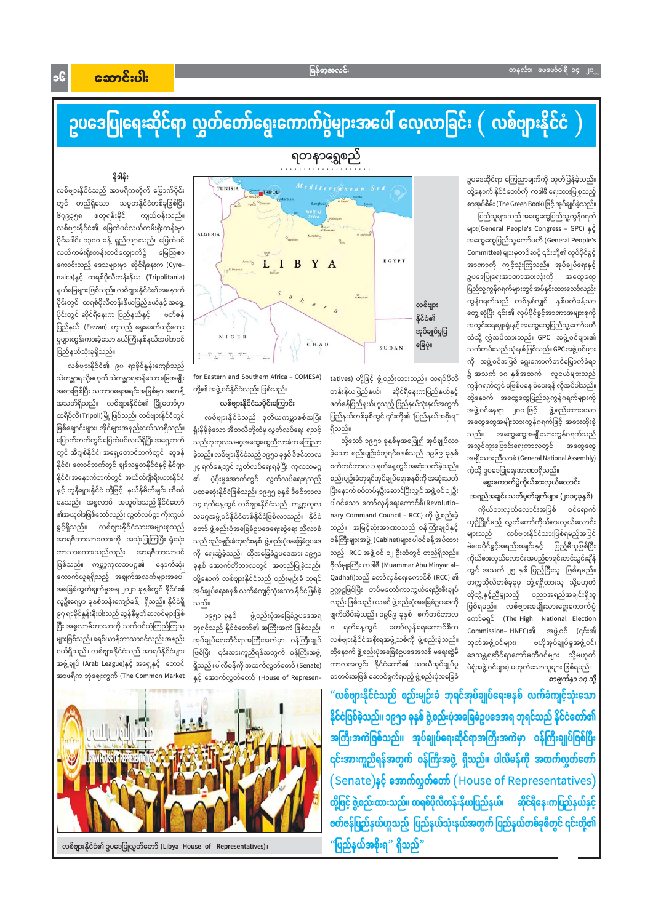Jc

# ဥပဒေပြုရေးဆိုင်ရာ လွှတ်တော်ရွေးကောက်ပွဲများအပေါ် လေ့လာခြင်း ( လစ်ဗျားနိုင်ငံ )

ရတနာရွှေစည်

ဥပဒေဆိုင်ရာ ကြေညာချက်ကို ထုတ်ပြန်ခဲ့သည်။ ထို့နောက် နိုင်ငံတော်ကို ကဒါဖီ ရေးသားပြုစုသည့် စာအုပ်စိမ်း (The Green Book) ဖြင့် အုပ်ချုပ်ခဲ့သည်။

ပြည်သူများသည် အထွေထွေပြည်သူ့ကွန်ဂရက် များ(General People's Congress - GPC) နှင့် အထွေထွေပြည်သူ့ကော်မတီ (General People's Committee) များမှတစ်ဆင့် ၎င်းတို့၏ လုပ်ပိုင်ခွင့် အာဏာကို ကျင့်သုံးကြသည်။ အုပ်ချုပ်ရေးနှင့် ဥပဒေပြုရေးအာဏာအားလုံးကို အထွေထွေ ပြည်သူ့ကွန်ဂရက်များတွင်အပ်နှင်းထားသော်လည်း ကွန်ဂရက်သည် တစ်နှစ်လျှင် နှစ်ပတ်ခန့်သာ တွေ့ဆုံပြီး ၎င်း၏ လုပ်ပိုင်ခွင့်အာဏာအများစုကို အတွင်းရေးမှူးရုံးနှင့် အထွေထွေပြည်သူ့ကော်မတီ ထံသို့ လွှဲအပ်ထားသည်။ GPC အဖွဲ့ဝင်များ၏ သက်တမ်းသည် သုံးနှစ် ဖြစ်သည်။ GPC အဖွဲ့ ဝင်များ ကို အဖွဲ့့ဝင်အဖြစ် ရွေးကောက်တင်မြှောက်ခံရာ ၌ အသက် ၁၈ နှစ်အထက် လူငယ်များသည် ကွန်ဂရက်တွင် မဖြစ်မနေ မဲပေးရန် လိုအပ်ပါသည်။ ထို့နောက် အထွေထွေပြည်သူ့ကွန်ဂရက်များကို အဖွဲ့ ဝင်နေရာ ၂၀၀ ဖြင့် ဖွဲ့စည်းထားသော အထွေထွေအမျိုးသားကွန်ဂရက်ဖြင့် အစားထိုးခဲ့ သည်။ အထွေထွေအမျိုးသားကွန်ဂရက်သည် အသွင်ကူးပြောင်းရေးကာလတွင် အထွေထွေ အမျိုးသား ညီလာခံ (General National Assembly) ကဲ့သို့ ဥပဒေပြုရေးအာဏာရှိသည်။

## ရွေးကောက်ပွဲကိုယ်စားလှယ်လောင်း

အရည်အချင်း သတ်မှတ်ချက်များ (၂၀၁၄ခုနှစ်)

ကိုယ်စားလှယ်လောင်းအဖြစ် ဝင်ရောက် ယှဉ်ပြိုင်မည့် လွှတ်တော်ကိုယ်စားလှယ်လောင်း များသည် လစ်ဗျားနိုင်ငံသားဖြစ်ရမည့်အပြင် မဲပေးပိုင်ခွင့်အရည်အချင်းနှင့် ပြည့်မီသူဖြစ်ပြီး ကိုယ်စားလှယ်လောင်း အမည်စာရင်းတင်သွင်းချိန် တွင် အသက် ၂၅ နှစ် ပြည့်ပြီးသူ ဖြစ်ရမည်။ တက္ကသိုလ်တစ်ခုခုမှ ဘွဲ့ရရှိထားသူ သို့မဟုတ် ထိုဘွဲ့နှင့်ညီမျှသည့် ပညာအရည်အချင်းရှိသူ ဖြစ်ရမည်။ လစ်ဗျားအမျိုးသားရွေးကောက်ပွဲ ကော်မရှင် (The High National Election Commission– HNEC)න් အဖွဲ့ ဝင် (၎င်း၏ ဘုတ်အဖွဲ့ ဝင်များ၊ ဗဟိုအုပ်ချုပ်မှုအဖွဲ့ ဝင်၊ ဒေသန္တရဆိုင်ရာကော်မတီဝင်များ သို့မဟုတ် မဲရုံအဖွဲ့ ဝင်များ) မဟုတ်သောသူများ ဖြစ်ရမည်။ စာမျက်နှာ ၁၇ သို့



tatives) တို့ဖြင့် ဖွဲ့စည်းထားသည်။ ထရစ်ပိုလီ တန်းနိယပြည်နယ်၊ ဆိုင်ရီနေးကပြည်နယ်နှင့် ဖတ်ဇန်ပြည်နယ်ဟူသည့် ပြည်နယ်သုံးနယ်အတွက် ပြည်နယ်တစ်ခုစီတွင် ၎င်းတို့၏ "ပြည်နယ်အစိုးရ' ရှိသည်။

သို့သော် ၁၉၅၁ ခုနှစ်မှအစပြု၍ အုပ်ချုပ်လာ ခဲ့သော စည်းမျဉ်းခံဘုရင်စနစ်သည် ၁၉၆၉ ခုနှစ် စက်တင်ဘာလ ၁ ရက်နေ့တွင် အဆုံးသတ်ခဲ့သည်။ စည်းမျဉ်းခံဘုရင်အုပ်ချုပ်ရေးစနစ်ကို အဆုံးသတ် ပြီးနောက် စစ်တပ်မှဦးဆောင်ပြီးလျှင် အဖွဲ့ ဝင် ၁၂ဦး ပါဝင်သော တော်လှန်ရေးကောင်စီ(Revolutio– nary Command Council – RCC) ကို ဖွဲ့စည်းခဲ့ သည်။ အမြင့်ဆုံးအာဏာသည် ဝန်ကြီးချုပ်နှင့် ဝန်ကြီးများအဖွဲ့ (Cabinet)များ ပါဝင်ခန့်အပ်ထား သည့် RCC အဖွဲ့ဝင် ၁၂ ဦးထံတွင် တည်ရှိသည်။ ဗိုလ်မျုးကြီး ကဒါဖီ (Muammar Abu Minyar al– Qadhafi)သည် တော်လှန်ရေးကောင်စီ (RCC) ၏ ဥက္ကဋ္ဌဖြစ်ပြီး တပ်မတော်ကာကွယ်ရေးဦးစီးချုပ် လည်း ဖြစ်သည်။ ယခင် ဖွဲ့ စည်းပုံအခြေခံဥပဒေကို ဖျက်သိမ်းခဲ့သည်။ ၁၉၆၉ ခုနှစ် စက်တင်ဘာလ ရက်နေ့တွင် တော်လှန်ရေးကောင်စီက  $\Omega$ လစ်ဗျားနိုင်ငံအစိုးရအဖွဲ့သစ်ကို ဖွဲ့စည်းခဲ့သည်။ ထို့နောက် ဖွဲ့စည်းပုံအခြေခံဥပဒေအသစ် မရေးဆွဲမီ ကာလအတွင်း နိုင်ငံတော်၏ ယာယီအုပ်ချုပ်မှု စာတမ်းအဖြစ် ဆောင်ရွက်ရမည့် ဖွဲ့စည်းပုံအခြေခံ

for Eastern and Southern Africa - COMESA) တို့၏ အဖွဲ့ ဝင်နိုင်ငံလည်း ဖြစ်သည်။

## လစ်ဗျားနိုင်ငံသမိုင်းကြောင်း

လစ်ဗျားနိုင်ငံသည် ဒုတိယကမ္ဘာစစ်အပြီး ရှုံးနိမ့်ခဲ့သော အီတလီတို့ထံမှ လွတ်လပ်ရေး ရသင့် သည်ဟု ကုလသမဂ္ဂအထွေထွေညီလာခံက ကြေညာ ခဲ့သည်။ လစ်ဗျားနိုင်ငံသည် ၁၉၅၁ ခုနှစ် ဒီဇင်ဘာလ ၂၄ ရက်နေ့တွင် လွတ်လပ်ရေးရခဲ့ပြီး ကုလသမဂ္ဂ ၏ ပံ့ပိုးမှုအောက်တွင် လွတ်လပ်ရေးရသည့် ပထမဆုံးနိုင်ငံဖြစ်သည်။ ၁၉၅၅ ခုနှစ် ဒီဇင်ဘာလ ၁၄ ရက်နေ့တွင် လစ်ဗျားနိုင်ငံသည် ကမ္ဘာ့ကုလ သမဂ္ဂအဖွဲ့ဝင်နိုင်ငံတစ်နိုင်ငံဖြစ်လာသည်။ နိုင်ငံ တော် ဖွဲ့စည်းပုံအခြေခံဥပဒေရေးဆွဲရေး ညီလာခံ သည် စည်းမျဉ်းခံဘုရင်စနစ် ဖွဲ့ စည်းပုံအခြေခံဥပဒေ ကို ရေးဆွဲခဲ့သည်။ ထိုအခြေခံဥပဒေအား ၁၉၅၁ ခုနှစ် အောက်တိုဘာလတွင် အတည်ပြုခဲ့သည်။ ထို့နောက် လစ်ဗျားနိုင်ငံသည် စည်းမျဉ်းခံ ဘုရင် အုပ်ချုပ်ရေးစနစ် လက်ခံကျင့်သုံးသော နိုင်ငံဖြစ်ခဲ့ သည်။

၁၉၅၁ ခုနှစ် ဖွဲ့စည်းပုံအခြေခံဥပဒေအရ ဘုရင်သည် နိုင်ငံတော်၏ အကြီးအကဲ ဖြစ်သည်။ အုပ်ချုပ်ရေးဆိုင်ရာအကြီးအကဲမှာ ဝန်ကြီးချုပ် ဖြစ်ပြီး ၎င်းအားကူညီရန်အတွက် ဝန်ကြီးအဖွဲ့ ရှိသည်။ ပါလီမန်ကို အထက်လွှတ်တော် (Senate) နှင့် အောက်လွှတ်တော် (House of Represen–

## နိဒါန်း

လစ်ဗျားနိုင်ငံသည် အာဖရိကတိုက် မြောက်ပိုင်း တွင် တည်ရှိသော သမ္မတနိုင်ငံတစ်ခုဖြစ်ပြီး ၆၇၉၃၅၈ စတုရန်းမိုင် ကျယ်ဝန်းသည်။ လစ်ဗျားနိုင်ငံ၏ မြေထဲပင်လယ်ကမ်းရိုးတန်းမှာ မိုင်ပေါင်း ၁၃ဝဝ ခန့် ရှည်လျားသည်။ မြေထဲပင် လယ်ကမ်းရိုးတန်းတစ်လျှောက်၌ မြေဩဇာ ကောင်းသည့် ဒေသများမှာ ဆိုင်ရီနေးက (Cyre– naica)နှင့် ထရစ်ပိုလီတန်းနိယ (Tripolitania) နယ်မြေများ ဖြစ်သည်။ လစ်ဗျားနိုင်ငံ၏ အနောက် ပိုင်းတွင် ထရစ်ပိုလီတန်းနိယပြည်နယ်နှင့် အရှေ့ ပိုင်းတွင် ဆိုင်ရီနေးက ပြည်နယ်နှင့် ဖတ်ဇန် ပြည်နယ် (Fezzan) ဟူသည့် ရှေးခေတ်ယဉ်ကျေး မှုများထွန်းကားခဲ့သော နယ်ကြီးနှစ်နယ်အပါအဝင် ပြည်နယ်သုံးခုရှိသည်။

လစ်ဗျားနိုင်ငံ၏ ၉၀ ရာခိုင်နူန်းကျော်သည် သဲကန္တာရ သို့မဟုတ် သဲကန္တာရဆန်သော မြေအမျိုး အစားဖြစ်ပြီး သဘာဝရေအရင်းအမြစ်မှာ အကန့် အသတ်ရှိသည်။ လစ်ဗျားနိုင်ငံ၏ မြို့တော်မှာ ထရီပိုလီ(Tripoli)မြို့ ဖြစ်သည်။ လစ်ဗျားနိုင်ငံတွင် မြစ်ချောင်းများ၊ အိုင်များအနည်းငယ်သာရှိသည်။ မြောက်ဘက်တွင် မြေထဲပင်လယ်ရှိပြီး အရှေ့ဘက် တွင် အီဂျစ်နိုင်ငံ၊ အရှေ့တောင်ဘက်တွင် ဆူဒန် နိုင်ငံ၊ တောင်ဘက်တွင် ချဒ်သမ္မတနိုင်ငံနှင့် နိုင်ဂျာ နိုင်ငံ၊အနောက်ဘက်တွင် အယ်လ်ဂျီးရီးယားနိုင်ငံ နှင့် တူနီးရှားနိုင်ငံ တို့ဖြင့် နယ်နိမိတ်ချင်း ထိစပ် နေသည်။ အစ္စလာမ် အယူဝါဒသည်နိုင်ငံတော် ၏အယူဝါဒဖြစ်သော်လည်း လွတ်လပ်စွာ ကိုးကွယ် ခွင့်ရှိသည်။ လစ်ဗျားနိုင်ငံသားအများစုသည် အာရဗီဘာသာစကားကို အသုံးပြုကြပြီး ရုံးသုံး ဘာသာစကားသည်လည်း အာရဗီဘာသာပင် ဖြစ်သည်။ ကမ္ဘာ့ကုလသမဂ္ဂ၏ နောက်ဆုံး ကောက်ယူရရှိသည့် အချက်အလက်များအပေါ် အခြေခံတွက်ချက်မှုအရ ၂၀၂၁ ခုနှစ်တွင် နိုင်ငံ၏ လူဦးရေမှာ ခုနစ်သန်းကျော်ခန့် ရှိသည်။ နိုင်ငံရှိ ၉၇ ရာခိုင်နှုန်းနီးပါးသည် ဆွန်နီမွတ်ဆလင်များဖြစ် ပြီး အစ္စလာမ်ဘာသာကို သက်ဝင်ယုံကြည်ကြသူ များဖြစ်သည်။ ခရစ်ယာန်ဘာသာဝင်လည်း အနည်း ငယ်ရှိသည်။ လစ်ဗျားနိုင်ငံသည် အာရပ်နိုင်ငံများ အဖွဲ့ချုပ် (Arab League)နှင့် အရှေ့နှင့် တောင် အာဖရိက ဘုံဈေးကွက် (The Common Market

"ဂ)စ်ဗျားနိုင်ငံသည် စည်းမျဉ်းခံ ဘုရင်အပ်ချုပ်ရေးစုနှစ် လက်ခံကျင်သုံး



| က၍းမှုကုက်ကြီး ရွက်းရှိပြီးရ သို့ရှိက္ခရိက္ခါကွစ်၊ စေလေးမျိုကိုက်မှုးစုကု    |
|------------------------------------------------------------------------------|
| နိုင်ငံဖြစ်ခဲ့သည်။ ၁၉၅၁ ခုနှစ် ဖွဲ့စည်းပုံအခြေခံဥပဒေအရ ဘုရင်သည် နိုင်ငံတော်၏ |
| အကြီးအကဲဖြစ်သည်။ အုပ်ချုပ်ရေးဆိုင်ရာအကြီးအကဲမှာ ဝန်ကြီးချုပ်ဖြစ်ပြီး         |
| ၎င်းအားကူညီရန်အတွက် ၀န်ကြီးအဖွဲ့ ရှိသည်။ ပါလီမန်ကို အထက်လွှတ်တော်            |
| (Senate)နှင့် အောက်လွှတ်တော် (House of Representatives)                      |
| တို့ဖြင့် ဖွဲ့စည်းထားသည်။ ထရစ်ပိုလီတန်းနိယပြည်နယ်၊ ဆိုင်ရီနေးကပြည်နယ်နှင့်   |
| <b>ဖတ်ဇန်ပြည်နယ်ဟူသည့်  ပြည်နယ်သုံးနယ်အတွက် ပြည်နယ်တစ်ခုစီတွင် ၎င်းတို့၏</b> |
| "ပြည်နယ်အစိုးရ" ရှိသည်"                                                      |